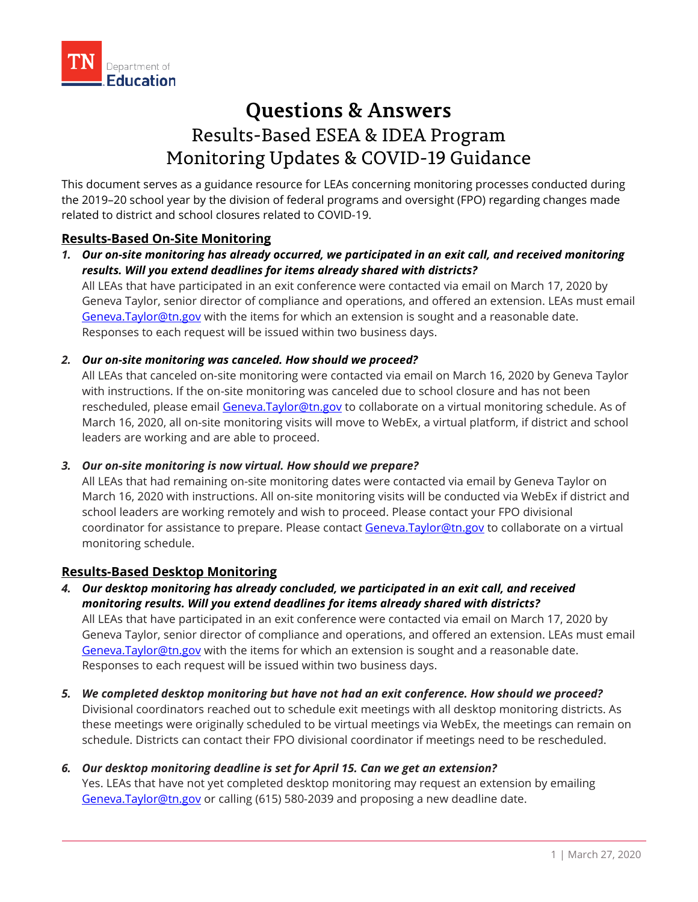# **Questions & Answers** Results-Based ESEA & IDEA Program Monitoring Updates & COVID-19 Guidance

This document serves as a guidance resource for LEAs concerning monitoring processes conducted during the 2019–20 school year by the division of federal programs and oversight (FPO) regarding changes made related to district and school closures related to COVID-19.

## **Results-Based On-Site Monitoring**

*1. Our on-site monitoring has already occurred, we participated in an exit call, and received monitoring results. Will you extend deadlines for items already shared with districts?*

All LEAs that have participated in an exit conference were contacted via email on March 17, 2020 by Geneva Taylor, senior director of compliance and operations, and offered an extension. LEAs must email [Geneva.Taylor@tn.gov](mailto:Geneva.Taylor@tn.gov) with the items for which an extension is sought and a reasonable date. Responses to each request will be issued within two business days.

## *2. Our on-site monitoring was canceled. How should we proceed?*

All LEAs that canceled on-site monitoring were contacted via email on March 16, 2020 by Geneva Taylor with instructions. If the on-site monitoring was canceled due to school closure and has not been rescheduled, please email [Geneva.Taylor@tn.gov](mailto:Geneva.Taylor@tn.gov) to collaborate on a virtual monitoring schedule. As of March 16, 2020, all on-site monitoring visits will move to WebEx, a virtual platform, if district and school leaders are working and are able to proceed.

## *3. Our on-site monitoring is now virtual. How should we prepare?*

All LEAs that had remaining on-site monitoring dates were contacted via email by Geneva Taylor on March 16, 2020 with instructions. All on-site monitoring visits will be conducted via WebEx if district and school leaders are working remotely and wish to proceed. Please contact your FPO divisional coordinator for assistance to prepare. Please contact [Geneva.Taylor@tn.gov](mailto:Geneva.Taylor@tn.gov) to collaborate on a virtual monitoring schedule.

## **Results-Based Desktop Monitoring**

## *4. Our desktop monitoring has already concluded, we participated in an exit call, and received monitoring results. Will you extend deadlines for items already shared with districts?*

All LEAs that have participated in an exit conference were contacted via email on March 17, 2020 by Geneva Taylor, senior director of compliance and operations, and offered an extension. LEAs must email [Geneva.Taylor@tn.gov](mailto:Geneva.Taylor@tn.gov) with the items for which an extension is sought and a reasonable date. Responses to each request will be issued within two business days.

*5. We completed desktop monitoring but have not had an exit conference. How should we proceed?* Divisional coordinators reached out to schedule exit meetings with all desktop monitoring districts. As these meetings were originally scheduled to be virtual meetings via WebEx, the meetings can remain on schedule. Districts can contact their FPO divisional coordinator if meetings need to be rescheduled.

## *6. Our desktop monitoring deadline is set for April 15. Can we get an extension?*

Yes. LEAs that have not yet completed desktop monitoring may request an extension by emailing [Geneva.Taylor@tn.gov](mailto:Geneva.Taylor@tn.gov) or calling (615) 580-2039 and proposing a new deadline date.